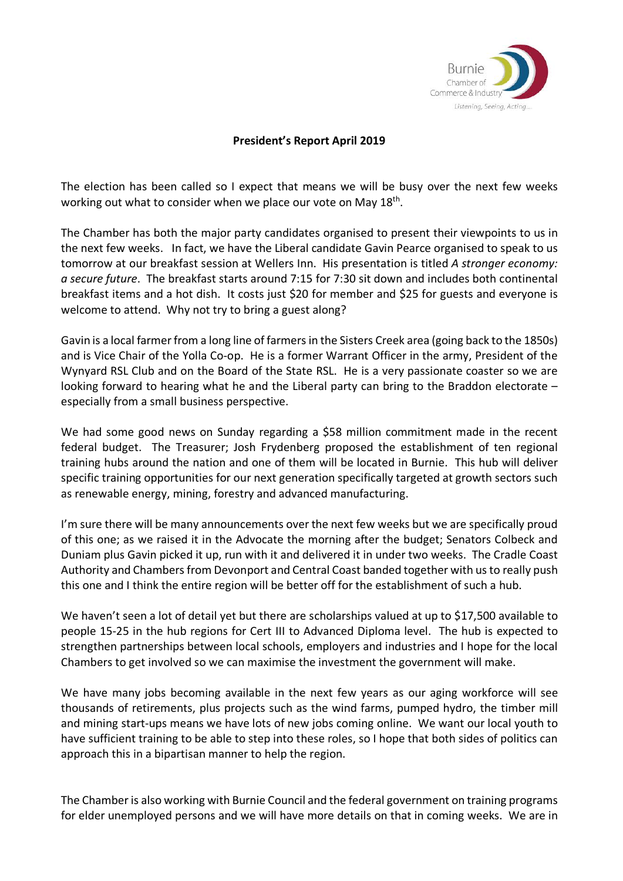

## **President's Report April 2019**

The election has been called so I expect that means we will be busy over the next few weeks working out what to consider when we place our vote on May 18<sup>th</sup>.

The Chamber has both the major party candidates organised to present their viewpoints to us in the next few weeks. In fact, we have the Liberal candidate Gavin Pearce organised to speak to us tomorrow at our breakfast session at Wellers Inn. His presentation is titled *A stronger economy: a secure future*. The breakfast starts around 7:15 for 7:30 sit down and includes both continental breakfast items and a hot dish. It costs just \$20 for member and \$25 for guests and everyone is welcome to attend. Why not try to bring a guest along?

Gavin is a local farmer from a long line of farmers in the Sisters Creek area (going back to the 1850s) and is Vice Chair of the Yolla Co-op. He is a former Warrant Officer in the army, President of the Wynyard RSL Club and on the Board of the State RSL. He is a very passionate coaster so we are looking forward to hearing what he and the Liberal party can bring to the Braddon electorate – especially from a small business perspective.

We had some good news on Sunday regarding a \$58 million commitment made in the recent federal budget. The Treasurer; Josh Frydenberg proposed the establishment of ten regional training hubs around the nation and one of them will be located in Burnie. This hub will deliver specific training opportunities for our next generation specifically targeted at growth sectors such as renewable energy, mining, forestry and advanced manufacturing.

I'm sure there will be many announcements over the next few weeks but we are specifically proud of this one; as we raised it in the Advocate the morning after the budget; Senators Colbeck and Duniam plus Gavin picked it up, run with it and delivered it in under two weeks. The Cradle Coast Authority and Chambers from Devonport and Central Coast banded together with us to really push this one and I think the entire region will be better off for the establishment of such a hub.

We haven't seen a lot of detail yet but there are scholarships valued at up to \$17,500 available to people 15-25 in the hub regions for Cert III to Advanced Diploma level. The hub is expected to strengthen partnerships between local schools, employers and industries and I hope for the local Chambers to get involved so we can maximise the investment the government will make.

We have many jobs becoming available in the next few years as our aging workforce will see thousands of retirements, plus projects such as the wind farms, pumped hydro, the timber mill and mining start-ups means we have lots of new jobs coming online. We want our local youth to have sufficient training to be able to step into these roles, so I hope that both sides of politics can approach this in a bipartisan manner to help the region.

The Chamber is also working with Burnie Council and the federal government on training programs for elder unemployed persons and we will have more details on that in coming weeks. We are in